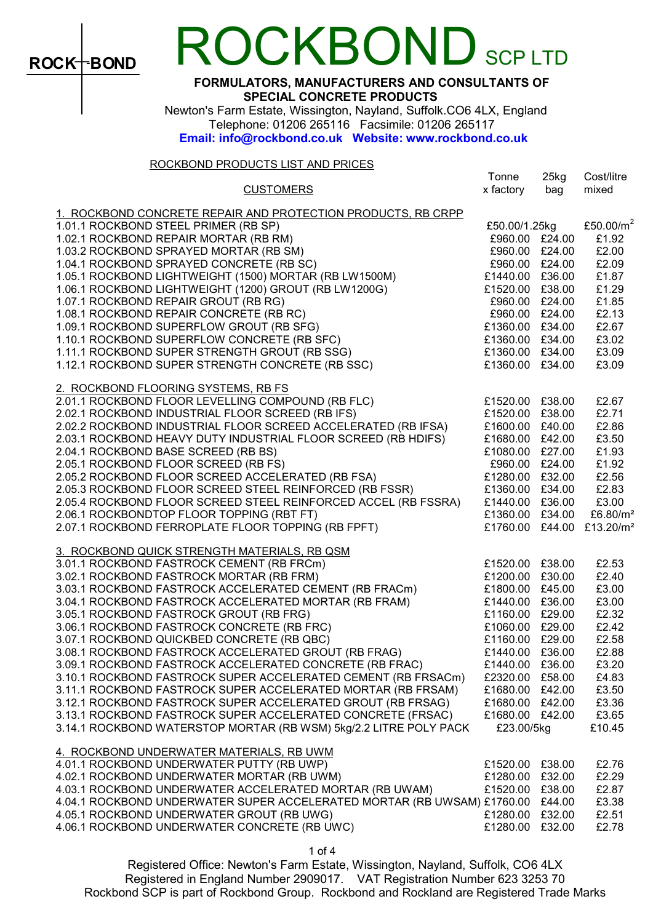

# OCKBOND SCP LTD

FORMULATORS, MANUFACTURERS AND CONSULTANTS OF SPECIAL CONCRETE PRODUCTS

 Newton's Farm Estate, Wissington, Nayland, Suffolk.CO6 4LX, England Telephone: 01206 265116 Facsimile: 01206 265117 Email: info@rockbond.co.uk Website: www.rockbond.co.uk

#### ROCKBOND PRODUCTS LIST AND PRICES

|                                                                                                     | Tonne           | $25$ kg | Cost/litre            |
|-----------------------------------------------------------------------------------------------------|-----------------|---------|-----------------------|
| <b>CUSTOMERS</b>                                                                                    | x factory       | bag     | mixed                 |
| 1. ROCKBOND CONCRETE REPAIR AND PROTECTION PRODUCTS, RB CRPP                                        |                 |         |                       |
| 1.01.1 ROCKBOND STEEL PRIMER (RB SP)                                                                | £50.00/1.25kg   |         | £50.00/ $m^2$         |
| 1.02.1 ROCKBOND REPAIR MORTAR (RB RM)                                                               | £960.00 £24.00  |         | £1.92                 |
| 1.03.2 ROCKBOND SPRAYED MORTAR (RB SM)                                                              | £960.00 £24.00  |         | £2.00                 |
| 1.04.1 ROCKBOND SPRAYED CONCRETE (RB SC)                                                            | £960.00 £24.00  |         | £2.09                 |
| 1.04. I RUCNBUND SPRAYED CUNCRETE (RB SC)<br>1.05.1 ROCKBOND LIGHTWEIGHT (1500) MORTAR (RB LW1500M) | £1440.00 £36.00 |         | £1.87                 |
| 1.06.1 ROCKBOND LIGHTWEIGHT (1200) GROUT (RB LW1200G)                                               | £1520.00 £38.00 |         | £1.29                 |
| 1.07.1 ROCKBOND REPAIR GROUT (RB RG)                                                                | £960.00 £24.00  |         | £1.85                 |
| 1.08.1 ROCKBOND REPAIR CONCRETE (RB RC)                                                             | £960.00 £24.00  |         | £2.13                 |
| 1.09.1 ROCKBOND SUPERFLOW GROUT (RB SFG)                                                            | £1360.00 £34.00 |         | £2.67                 |
| 1.10.1 ROCKBOND SUPERFLOW CONCRETE (RB SFC)                                                         | £1360.00 £34.00 |         | £3.02                 |
| 1.11.1 ROCKBOND SUPER STRENGTH GROUT (RB SSG)                                                       | £1360.00 £34.00 |         | £3.09                 |
| 1.12.1 ROCKBOND SUPER STRENGTH CONCRETE (RB SSC)                                                    | £1360.00 £34.00 |         | £3.09                 |
|                                                                                                     |                 |         |                       |
| 2. ROCKBOND FLOORING SYSTEMS, RB FS                                                                 |                 |         |                       |
| 2.01.1 ROCKBOND FLOOR LEVELLING COMPOUND (RB FLC)                                                   | £1520.00 £38.00 |         | £2.67                 |
| 2.02.1 ROCKBOND INDUSTRIAL FLOOR SCREED (RB IFS)                                                    | £1520.00 £38.00 |         | £2.71                 |
| 2.02.2 ROCKBOND INDUSTRIAL FLOOR SCREED ACCELERATED (RB IFSA)                                       | £1600.00 £40.00 |         | £2.86                 |
| 2.03.1 ROCKBOND HEAVY DUTY INDUSTRIAL FLOOR SCREED (RB HDIFS)                                       | £1680.00 £42.00 |         | £3.50                 |
| 2.04.1 ROCKBOND BASE SCREED (RB BS)                                                                 | £1080.00 £27.00 |         | £1.93                 |
| 2.05.1 ROCKBOND FLOOR SCREED (RB FS)                                                                | £960.00 £24.00  |         | £1.92                 |
| 2.05.2 ROCKBOND FLOOR SCREED ACCELERATED (RB FSA)                                                   | £1280.00 £32.00 |         | £2.56                 |
| 2.05.3 ROCKBOND FLOOR SCREED STEEL REINFORCED (RB FSSR)                                             | £1360.00 £34.00 |         | £2.83                 |
| 2.05.4 ROCKBOND FLOOR SCREED STEEL REINFORCED ACCEL (RB FSSRA)                                      | £1440.00 £36.00 |         | £3.00                 |
| 2.06.1 ROCKBONDTOP FLOOR TOPPING (RBT FT)                                                           | £1360.00 £34.00 |         | £6.80/ $m^2$          |
| 2.07.1 ROCKBOND FERROPLATE FLOOR TOPPING (RB FPFT)                                                  | £1760.00 £44.00 |         | £13.20/m <sup>2</sup> |
|                                                                                                     |                 |         |                       |
| 3. ROCKBOND QUICK STRENGTH MATERIALS, RB QSM                                                        |                 |         |                       |
| 3.01.1 ROCKBOND FASTROCK CEMENT (RB FRCm)                                                           | £1520.00 £38.00 |         | £2.53                 |
| 3.02.1 ROCKBOND FASTROCK MORTAR (RB FRM)                                                            | £1200.00 £30.00 |         | £2.40                 |
| 3.03.1 ROCKBOND FASTROCK ACCELERATED CEMENT (RB FRACm)                                              | £1800.00 £45.00 |         | £3.00                 |
| 3.04.1 ROCKBOND FASTROCK ACCELERATED MORTAR (RB FRAM)                                               | £1440.00 £36.00 |         | £3.00                 |
| 3.05.1 ROCKBOND FASTROCK GROUT (RB FRG)                                                             | £1160.00 £29.00 |         | £2.32                 |
| 3.06.1 ROCKBOND FASTROCK CONCRETE (RB FRC)                                                          | £1060.00 £29.00 |         | £2.42                 |
| 3.07.1 ROCKBOND QUICKBED CONCRETE (RB QBC)                                                          | £1160.00 £29.00 |         | £2.58                 |
| 3.08.1 ROCKBOND FASTROCK ACCELERATED GROUT (RB FRAG)                                                | £1440.00 £36.00 |         | £2.88                 |
| 3.09.1 ROCKBOND FASTROCK ACCELERATED CONCRETE (RB FRAC)                                             | £1440.00 £36.00 |         | £3.20                 |
| 3.10.1 ROCKBOND FASTROCK SUPER ACCELERATED CEMENT (RB FRSACm)                                       | £2320.00 £58.00 |         | £4.83                 |
| 3.11.1 ROCKBOND FASTROCK SUPER ACCELERATED MORTAR (RB FRSAM)                                        | £1680.00 £42.00 |         | £3.50                 |
| 3.12.1 ROCKBOND FASTROCK SUPER ACCELERATED GROUT (RB FRSAG)                                         | £1680.00 £42.00 |         | £3.36                 |
| 3.13.1 ROCKBOND FASTROCK SUPER ACCELERATED CONCRETE (FRSAC)                                         | £1680.00 £42.00 |         | £3.65                 |
| 3.14.1 ROCKBOND WATERSTOP MORTAR (RB WSM) 5kg/2.2 LITRE POLY PACK                                   | £23.00/5kg      |         | £10.45                |
| 4. ROCKBOND UNDERWATER MATERIALS, RB UWM                                                            |                 |         |                       |
| 4.01.1 ROCKBOND UNDERWATER PUTTY (RB UWP)                                                           | £1520.00        | £38.00  | £2.76                 |
| 4.02.1 ROCKBOND UNDERWATER MORTAR (RB UWM)                                                          | £1280.00 £32.00 |         | £2.29                 |
| 4.03.1 ROCKBOND UNDERWATER ACCELERATED MORTAR (RB UWAM)                                             | £1520.00 £38.00 |         | £2.87                 |
| 4.04.1 ROCKBOND UNDERWATER SUPER ACCELERATED MORTAR (RB UWSAM) £1760.00 £44.00                      |                 |         | £3.38                 |
| 4.05.1 ROCKBOND UNDERWATER GROUT (RB UWG)                                                           | £1280.00 £32.00 |         | £2.51                 |
| 4.06.1 ROCKBOND UNDERWATER CONCRETE (RB UWC)                                                        | £1280.00 £32.00 |         | £2.78                 |
|                                                                                                     |                 |         |                       |

Registered Office: Newton's Farm Estate, Wissington, Nayland, Suffolk, CO6 4LX Registered in England Number 2909017. VAT Registration Number 623 3253 70 Rockbond SCP is part of Rockbond Group. Rockbond and Rockland are Registered Trade Marks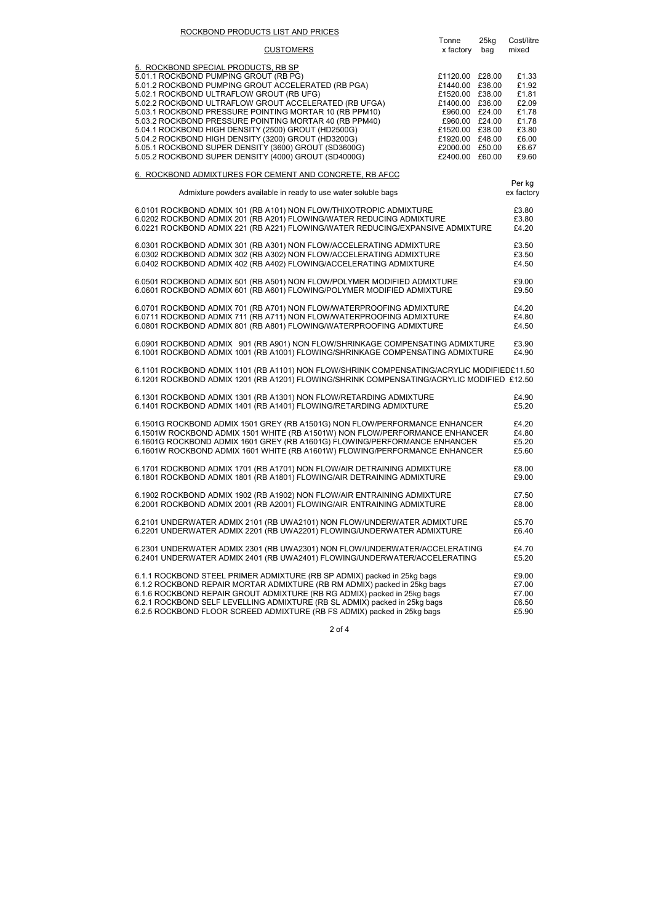#### ROCKBOND PRODUCTS LIST AND PRICES

|                                                                                           | Tonne           | 25kg   | Cost/litre |
|-------------------------------------------------------------------------------------------|-----------------|--------|------------|
| <b>CUSTOMERS</b>                                                                          | x factory       | bag    | mixed      |
|                                                                                           |                 |        |            |
| 5. ROCKBOND SPECIAL PRODUCTS, RB SP                                                       |                 |        |            |
| 5.01.1 ROCKBOND PUMPING GROUT (RB PG)                                                     | £1120.00 £28.00 |        | £1.33      |
| 5.01.2 ROCKBOND PUMPING GROUT ACCELERATED (RB PGA)                                        | £1440.00        | £36.00 | £1.92      |
| 5.02.1 ROCKBOND ULTRAFLOW GROUT (RB UFG)                                                  | £1520.00 £38.00 |        | £1.81      |
| 5.02.2 ROCKBOND ULTRAFLOW GROUT ACCELERATED (RB UFGA)                                     | £1400.00 £36.00 |        | £2.09      |
| 5.03.1 ROCKBOND PRESSURE POINTING MORTAR 10 (RB PPM10)                                    | £960.00 £24.00  |        | £1.78      |
| 5.03.2 ROCKBOND PRESSURE POINTING MORTAR 40 (RB PPM40)                                    | £960.00 £24.00  |        | £1.78      |
| 5.04.1 ROCKBOND HIGH DENSITY (2500) GROUT (HD2500G)                                       | £1520.00 £38.00 |        | £3.80      |
| 5.04.2 ROCKBOND HIGH DENSITY (3200) GROUT (HD3200G)                                       | £1920.00        | £48.00 | £6.00      |
| 5.05.1 ROCKBOND SUPER DENSITY (3600) GROUT (SD3600G)                                      | £2000.00        | £50.00 | £6.67      |
| 5.05.2 ROCKBOND SUPER DENSITY (4000) GROUT (SD4000G)                                      | £2400.00        | £60.00 | £9.60      |
| 6. ROCKBOND ADMIXTURES FOR CEMENT AND CONCRETE, RB AFCC                                   |                 |        |            |
|                                                                                           |                 |        | Per kg     |
| Admixture powders available in ready to use water soluble bags                            |                 |        | ex factory |
|                                                                                           |                 |        |            |
| 6.0101 ROCKBOND ADMIX 101 (RB A101) NON FLOW/THIXOTROPIC ADMIXTURE                        |                 |        | £3.80      |
| 6.0202 ROCKBOND ADMIX 201 (RB A201) FLOWING/WATER REDUCING ADMIXTURE                      |                 |        | £3.80      |
| 6.0221 ROCKBOND ADMIX 221 (RB A221) FLOWING/WATER REDUCING/EXPANSIVE ADMIXTURE            |                 |        | £4.20      |
|                                                                                           |                 |        |            |
| 6.0301 ROCKBOND ADMIX 301 (RB A301) NON FLOW/ACCELERATING ADMIXTURE                       |                 |        | £3.50      |
| 6.0302 ROCKBOND ADMIX 302 (RB A302) NON FLOW/ACCELERATING ADMIXTURE                       |                 |        | £3.50      |
| 6.0402 ROCKBOND ADMIX 402 (RB A402) FLOWING/ACCELERATING ADMIXTURE                        |                 |        | £4.50      |
| 6.0501 ROCKBOND ADMIX 501 (RB A501) NON FLOW/POLYMER MODIFIED ADMIXTURE                   |                 |        | £9.00      |
| 6.0601 ROCKBOND ADMIX 601 (RB A601) FLOWING/POLYMER MODIFIED ADMIXTURE                    |                 |        | £9.50      |
|                                                                                           |                 |        |            |
| 6.0701 ROCKBOND ADMIX 701 (RB A701) NON FLOW/WATERPROOFING ADMIXTURE                      |                 |        | £4.20      |
| 6.0711 ROCKBOND ADMIX 711 (RB A711) NON FLOW/WATERPROOFING ADMIXTURE                      |                 |        | £4.80      |
| 6.0801 ROCKBOND ADMIX 801 (RB A801) FLOWING/WATERPROOFING ADMIXTURE                       |                 |        | £4.50      |
|                                                                                           |                 |        |            |
| 6.0901 ROCKBOND ADMIX 901 (RB A901) NON FLOW/SHRINKAGE COMPENSATING ADMIXTURE             |                 |        | £3.90      |
| 6.1001 ROCKBOND ADMIX 1001 (RB A1001) FLOWING/SHRINKAGE COMPENSATING ADMIXTURE            |                 |        | £4.90      |
|                                                                                           |                 |        |            |
| 6.1101 ROCKBOND ADMIX 1101 (RB A1101) NON FLOW/SHRINK COMPENSATING/ACRYLIC MODIFIED£11.50 |                 |        |            |
| 6.1201 ROCKBOND ADMIX 1201 (RB A1201) FLOWING/SHRINK COMPENSATING/ACRYLIC MODIFIED £12.50 |                 |        |            |
| 6.1301 ROCKBOND ADMIX 1301 (RB A1301) NON FLOW/RETARDING ADMIXTURE                        |                 |        | £4.90      |
| 6.1401 ROCKBOND ADMIX 1401 (RB A1401) FLOWING/RETARDING ADMIXTURE                         |                 |        | £5.20      |
|                                                                                           |                 |        |            |
| 6.1501G ROCKBOND ADMIX 1501 GREY (RB A1501G) NON FLOW/PERFORMANCE ENHANCER                |                 |        | £4.20      |
| 6.1501W ROCKBOND ADMIX 1501 WHITE (RB A1501W) NON FLOW/PERFORMANCE ENHANCER               |                 |        | £4.80      |
| 6.1601G ROCKBOND ADMIX 1601 GREY (RB A1601G) FLOWING/PERFORMANCE ENHANCER                 |                 |        | £5.20      |
| 6.1601W ROCKBOND ADMIX 1601 WHITE (RB A1601W) FLOWING/PERFORMANCE ENHANCER                |                 |        | £5.60      |
|                                                                                           |                 |        |            |
| 6.1701 ROCKBOND ADMIX 1701 (RB A1701) NON FLOW/AIR DETRAINING ADMIXTURE                   |                 |        | £8.00      |
| 6.1801 ROCKBOND ADMIX 1801 (RB A1801) FLOWING/AIR DETRAINING ADMIXTURE                    |                 |        | £9.00      |
|                                                                                           |                 |        |            |
| 6.1902 ROCKBOND ADMIX 1902 (RB A1902) NON FLOW/AIR ENTRAINING ADMIXTURE                   |                 |        | £7.50      |
| 6.2001 ROCKBOND ADMIX 2001 (RB A2001) FLOWING/AIR ENTRAINING ADMIXTURE                    |                 |        | £8.00      |
| 6.2101 UNDERWATER ADMIX 2101 (RB UWA2101) NON FLOW/UNDERWATER ADMIXTURE                   |                 |        | £5.70      |
| 6.2201 UNDERWATER ADMIX 2201 (RB UWA2201) FLOWING/UNDERWATER ADMIXTURE                    |                 |        | £6.40      |
|                                                                                           |                 |        |            |
| 6.2301 UNDERWATER ADMIX 2301 (RB UWA2301) NON FLOW/UNDERWATER/ACCELERATING                |                 |        | £4.70      |
| 6.2401 UNDERWATER ADMIX 2401 (RB UWA2401) FLOWING/UNDERWATER/ACCELERATING                 |                 |        | £5.20      |
|                                                                                           |                 |        |            |
| 6.1.1 ROCKBOND STEEL PRIMER ADMIXTURE (RB SP ADMIX) packed in 25kg bags                   |                 |        | £9.00      |
| 6.1.2 ROCKBOND REPAIR MORTAR ADMIXTURE (RB RM ADMIX) packed in 25kg bags                  |                 |        | £7.00      |
| 6.1.6 ROCKBOND REPAIR GROUT ADMIXTURE (RB RG ADMIX) packed in 25kg bags                   |                 |        | £7.00      |
| 6.2.1 ROCKBOND SELF LEVELLING ADMIXTURE (RB SL ADMIX) packed in 25kg bags                 |                 |        | £6.50      |
| 6.2.5 ROCKBOND FLOOR SCREED ADMIXTURE (RB FS ADMIX) packed in 25kg bags                   |                 |        | £5.90      |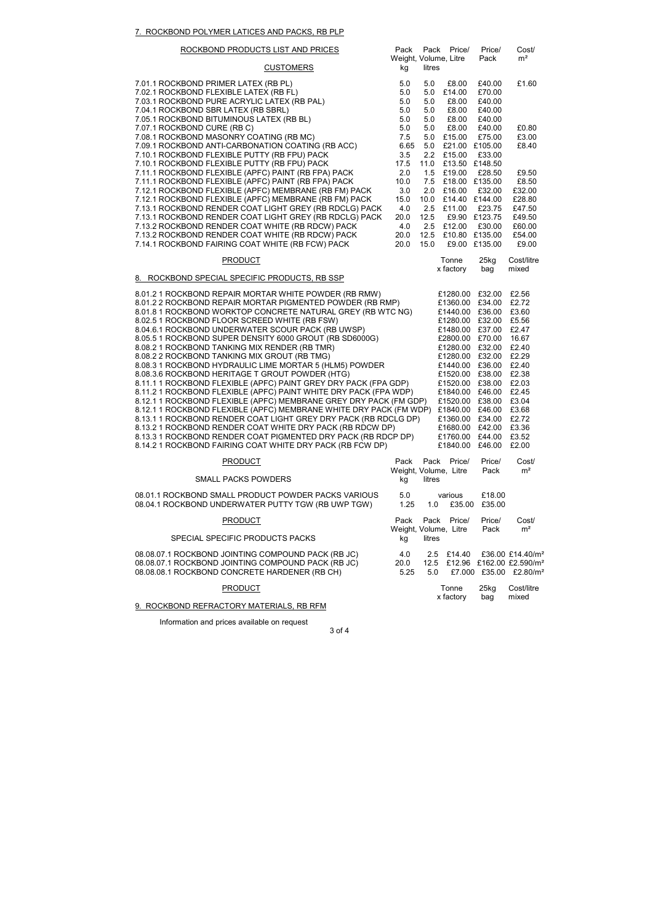### 7. ROCKBOND POLYMER LATICES AND PACKS, RB PLP

| ROCKBOND PRODUCTS LIST AND PRICES                                                                                                                                                                                                                                                                                                                                                                                                                                                                                                                                                                                                                                                                                                                                                                                                                                                                                                                                                                                                                                                                                 | Pack                                             |                                                 | Pack Price/                                                                                                                                                                                                                                                                                                                                 | Price/                                                     | Cost/                                                                                                                                                          |
|-------------------------------------------------------------------------------------------------------------------------------------------------------------------------------------------------------------------------------------------------------------------------------------------------------------------------------------------------------------------------------------------------------------------------------------------------------------------------------------------------------------------------------------------------------------------------------------------------------------------------------------------------------------------------------------------------------------------------------------------------------------------------------------------------------------------------------------------------------------------------------------------------------------------------------------------------------------------------------------------------------------------------------------------------------------------------------------------------------------------|--------------------------------------------------|-------------------------------------------------|---------------------------------------------------------------------------------------------------------------------------------------------------------------------------------------------------------------------------------------------------------------------------------------------------------------------------------------------|------------------------------------------------------------|----------------------------------------------------------------------------------------------------------------------------------------------------------------|
| <b>CUSTOMERS</b>                                                                                                                                                                                                                                                                                                                                                                                                                                                                                                                                                                                                                                                                                                                                                                                                                                                                                                                                                                                                                                                                                                  | Weight, Volume, Litre<br>kg                      | litres                                          |                                                                                                                                                                                                                                                                                                                                             | Pack                                                       | m <sup>2</sup>                                                                                                                                                 |
| 7.01.1 ROCKBOND PRIMER LATEX (RB PL)<br>7.02.1 ROCKBOND FLEXIBLE LATEX (RB FL)<br>7.03.1 ROCKBOND PURE ACRYLIC LATEX (RB PAL)<br>7.04.1 ROCKBOND SBR LATEX (RB SBRL)<br>7.05.1 ROCKBOND BITUMINOUS LATEX (RB BL)                                                                                                                                                                                                                                                                                                                                                                                                                                                                                                                                                                                                                                                                                                                                                                                                                                                                                                  | 5.0<br>5.0<br>5.0<br>5.0<br>5.0                  | 5.0<br>5.0<br>5.0<br>5.0<br>5.0                 | £8.00<br>£14.00<br>£8.00<br>£8.00<br>£8.00                                                                                                                                                                                                                                                                                                  | £40.00<br>£70.00<br>£40.00<br>£40.00<br>£40.00             | £1.60                                                                                                                                                          |
| 7.07.1 ROCKBOND CURE (RBC)<br>7.08.1 ROCKBOND MASONRY COATING (RB MC)<br>7.09.1 ROCKBOND ANTI-CARBONATION COATING (RB ACC)<br>7.10.1 ROCKBOND FLEXIBLE PUTTY (RB FPU) PACK<br>7.10.1 ROCKBOND FLEXIBLE PUTTY (RB FPU) PACK                                                                                                                                                                                                                                                                                                                                                                                                                                                                                                                                                                                                                                                                                                                                                                                                                                                                                        | 5.0<br>7.5<br>6.65<br>3.5<br>17.5                | 5.0<br>5.0<br>5.0<br>2.2<br>11.0                | £8.00<br>£15.00<br>£21.00<br>£15.00<br>£13.50                                                                                                                                                                                                                                                                                               | £40.00<br>£75.00<br>£105.00<br>£33.00<br>£148.50           | £0.80<br>£3.00<br>£8.40                                                                                                                                        |
| 7.11.1 ROCKBOND FLEXIBLE (APFC) PAINT (RB FPA) PACK<br>7.11.1 ROCKBOND FLEXIBLE (APFC) PAINT (RB FPA) PACK<br>7.12.1 ROCKBOND FLEXIBLE (APFC) MEMBRANE (RB FM) PACK<br>7.12.1 ROCKBOND FLEXIBLE (APFC) MEMBRANE (RB FM) PACK<br>7.13.1 ROCKBOND RENDER COAT LIGHT GREY (RB RDCLG) PACK<br>7.13.1 ROCKBOND RENDER COAT LIGHT GREY (RB RDCLG) PACK<br>7.13.2 ROCKBOND RENDER COAT WHITE (RB RDCW) PACK                                                                                                                                                                                                                                                                                                                                                                                                                                                                                                                                                                                                                                                                                                              | 2.0<br>10.0<br>3.0<br>15.0<br>4.0<br>20.0<br>4.0 | 1.5<br>7.5<br>2.0<br>10.0<br>2.5<br>12.5<br>2.5 | £19.00<br>£18.00 £135.00<br>£16.00<br>£14.40<br>£11.00<br>£9.90<br>£12.00                                                                                                                                                                                                                                                                   | £28.50<br>£32.00<br>£144.00<br>£23.75<br>£123.75<br>£30.00 | £9.50<br>£8.50<br>£32.00<br>£28.80<br>£47.50<br>£49.50<br>£60.00                                                                                               |
| 7.13.2 ROCKBOND RENDER COAT WHITE (RB RDCW) PACK<br>7.14.1 ROCKBOND FAIRING COAT WHITE (RB FCW) PACK                                                                                                                                                                                                                                                                                                                                                                                                                                                                                                                                                                                                                                                                                                                                                                                                                                                                                                                                                                                                              | 20.0<br>20.0                                     | 12.5<br>15.0                                    | £10.80 £135.00                                                                                                                                                                                                                                                                                                                              | £9.00 £135.00                                              | £54.00<br>£9.00                                                                                                                                                |
| <b>PRODUCT</b><br>8. ROCKBOND SPECIAL SPECIFIC PRODUCTS, RB SSP                                                                                                                                                                                                                                                                                                                                                                                                                                                                                                                                                                                                                                                                                                                                                                                                                                                                                                                                                                                                                                                   |                                                  |                                                 | Tonne<br>x factory                                                                                                                                                                                                                                                                                                                          | $25$ kg<br>bag                                             | Cost/litre<br>mixed                                                                                                                                            |
| 8.01.2 1 ROCKBOND REPAIR MORTAR WHITE POWDER (RB RMW)<br>8.01.2 2 ROCKBOND REPAIR MORTAR PIGMENTED POWDER (RB RMP)<br>8.01.8 1 ROCKBOND WORKTOP CONCRETE NATURAL GREY (RB WTC NG)<br>8.02.5 1 ROCKBOND FLOOR SCREED WHITE (RB FSW)<br>8.04.6.1 ROCKBOND UNDERWATER SCOUR PACK (RB UWSP)<br>8.05.5 1 ROCKBOND SUPER DENSITY 6000 GROUT (RB SD6000G)<br>8.08.2 1 ROCKBOND TANKING MIX RENDER (RB TMR)<br>8.08.2 2 ROCKBOND TANKING MIX GROUT (RB TMG)<br>8.08.3 1 ROCKBOND HYDRAULIC LIME MORTAR 5 (HLM5) POWDER<br>8.08.3.6 ROCKBOND HERITAGE T GROUT POWDER (HTG)<br>8.11.1 1 ROCKBOND FLEXIBLE (APFC) PAINT GREY DRY PACK (FPA GDP)<br>8.11.2 1 ROCKBOND FLEXIBLE (APFC) PAINT WHITE DRY PACK (FPA WDP)<br>8.12.1 1 ROCKBOND FLEXIBLE (APFC) MEMBRANE GREY DRY PACK (FM GDP)<br>8.12.1 1 ROCKBOND FLEXIBLE (APFC) MEMBRANE WHITE DRY PACK (FM WDP)<br>8.13.1 1 ROCKBOND RENDER COAT LIGHT GREY DRY PACK (RB RDCLG DP)<br>8.13.2 1 ROCKBOND RENDER COAT WHITE DRY PACK (RB RDCW DP)<br>8.13.3 1 ROCKBOND RENDER COAT PIGMENTED DRY PACK (RB RDCP DP)<br>8.14.2 1 ROCKBOND FAIRING COAT WHITE DRY PACK (RB FCW DP) |                                                  |                                                 | £1280.00 £32.00<br>£1360.00<br>£1440.00 £36.00<br>£1280.00 £32.00<br>£1480.00 £37.00<br>£2800.00 £70.00<br>£1280.00 £32.00<br>£1280.00 £32.00<br>£1440.00 £36.00<br>£1520.00 £38.00<br>£1520.00 £38.00<br>£1840.00 £46.00<br>£1520.00 £38.00<br>£1840.00 £46.00<br>£1360.00 £34.00<br>£1680.00 £42.00<br>£1760.00 £44.00<br>£1840.00 £46.00 | £34.00                                                     | £2.56<br>£2.72<br>£3.60<br>£5.56<br>£2.47<br>16.67<br>£2.40<br>£2.29<br>£2.40<br>£2.38<br>£2.03<br>£2.45<br>£3.04<br>£3.68<br>£2.72<br>£3.36<br>£3.52<br>£2.00 |
| <b>PRODUCT</b>                                                                                                                                                                                                                                                                                                                                                                                                                                                                                                                                                                                                                                                                                                                                                                                                                                                                                                                                                                                                                                                                                                    | Pack                                             |                                                 | Pack Price/<br>Weight, Volume, Litre                                                                                                                                                                                                                                                                                                        | Price/<br>Pack                                             | Cost/<br>m <sup>2</sup>                                                                                                                                        |
| <b>SMALL PACKS POWDERS</b><br>08.01.1 ROCKBOND SMALL PRODUCT POWDER PACKS VARIOUS<br>08.04.1 ROCKBOND UNDERWATER PUTTY TGW (RB UWP TGW)                                                                                                                                                                                                                                                                                                                                                                                                                                                                                                                                                                                                                                                                                                                                                                                                                                                                                                                                                                           | kg<br>5.0<br>1.25                                | litres<br>1.0                                   | various<br>£35.00                                                                                                                                                                                                                                                                                                                           | £18.00<br>£35.00                                           |                                                                                                                                                                |
| <b>PRODUCT</b><br>SPECIAL SPECIFIC PRODUCTS PACKS                                                                                                                                                                                                                                                                                                                                                                                                                                                                                                                                                                                                                                                                                                                                                                                                                                                                                                                                                                                                                                                                 | Pack<br>kg                                       | litres                                          | Pack Price/<br>Weight, Volume, Litre                                                                                                                                                                                                                                                                                                        | Price/<br>Pack                                             | Cost/<br>m <sup>2</sup>                                                                                                                                        |
| 08.08.07.1 ROCKBOND JOINTING COMPOUND PACK (RB JC)<br>08.08.07.1 ROCKBOND JOINTING COMPOUND PACK (RB JC)<br>08.08.08.1 ROCKBOND CONCRETE HARDENER (RB CH)                                                                                                                                                                                                                                                                                                                                                                                                                                                                                                                                                                                                                                                                                                                                                                                                                                                                                                                                                         | 4.0<br>20.0<br>5.25                              | 5.0                                             | 2.5 £14.40                                                                                                                                                                                                                                                                                                                                  |                                                            | £36.00 £14.40/m <sup>2</sup><br>12.5 £12.96 £162.00 £2.590/m <sup>2</sup><br>£7.000 £35.00 £2.80/m <sup>2</sup>                                                |
| <b>PRODUCT</b>                                                                                                                                                                                                                                                                                                                                                                                                                                                                                                                                                                                                                                                                                                                                                                                                                                                                                                                                                                                                                                                                                                    |                                                  |                                                 | Tonne<br>x factory                                                                                                                                                                                                                                                                                                                          | 25kg<br>bag                                                | Cost/litre<br>mixed                                                                                                                                            |
| 9. ROCKBOND REFRACTORY MATERIALS, RB RFM                                                                                                                                                                                                                                                                                                                                                                                                                                                                                                                                                                                                                                                                                                                                                                                                                                                                                                                                                                                                                                                                          |                                                  |                                                 |                                                                                                                                                                                                                                                                                                                                             |                                                            |                                                                                                                                                                |

Information and prices available on request